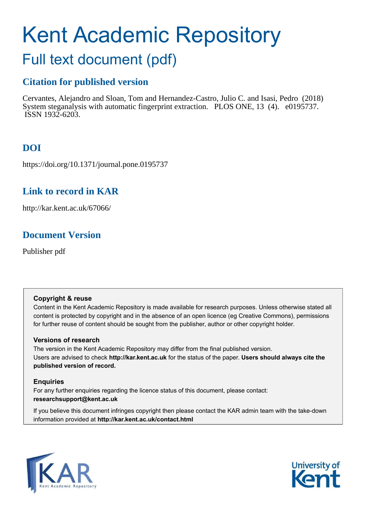# <span id="page-0-0"></span>Kent Academic Repository Full text document (pdf)

# **Citation for published version**

Cervantes, Alejandro and Sloan, Tom and Hernandez-Castro, Julio C. and Isasi, Pedro (2018) System steganalysis with automatic fingerprint extraction. PLOS ONE, 13 (4). e0195737. ISSN 1932-6203.

# **DOI**

https://doi.org/10.1371/journal.pone.0195737

# **Link to record in KAR**

http://kar.kent.ac.uk/67066/

# **Document Version**

Publisher pdf

# **Copyright & reuse**

Content in the Kent Academic Repository is made available for research purposes. Unless otherwise stated all content is protected by copyright and in the absence of an open licence (eg Creative Commons), permissions for further reuse of content should be sought from the publisher, author or other copyright holder.

# **Versions of research**

The version in the Kent Academic Repository may differ from the final published version. Users are advised to check **http://kar.kent.ac.uk** for the status of the paper. **Users should always cite the published version of record.**

# **Enquiries**

For any further enquiries regarding the licence status of this document, please contact: **researchsupport@kent.ac.uk**

If you believe this document infringes copyright then please contact the KAR admin team with the take-down information provided at **http://kar.kent.ac.uk/contact.html**



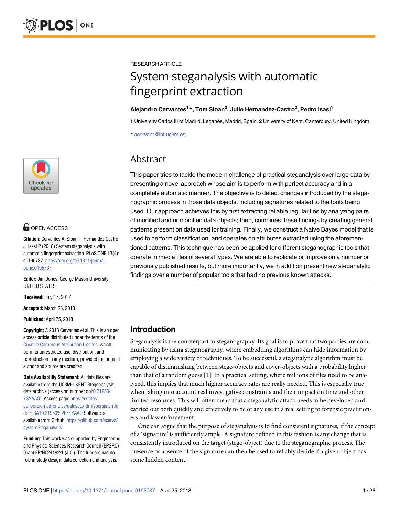

# **OPEN ACCESS**

**Citation:** Cervantes A, Sloan T, Hernandez-Castro J, Isasi P (2018) System steganalysis with automatic fingerprint extraction. PLoS ONE 13(4): e0195737. [https://doi.org/10.1371/journal.](https://doi.org/10.1371/journal.pone.0195737) [pone.0195737](https://doi.org/10.1371/journal.pone.0195737)

**Editor:** Jim Jones, George Mason University, UNITED STATES

**Received:** July 17, 2017

**Accepted:** March 28, 2018

**Published:** April 25, 2018

**Copyright:** © 2018 Cervantes et al. This is an open access article distributed under the terms of the [Creative Commons Attribution License,](http://creativecommons.org/licenses/by/4.0/) which permits unrestricted use, distribution, and reproduction in any medium, provided the original author and source are credited.

**Data Availability Statement:** All data files are available from the UC3M-UKENT Stegoanalysis data archive (accession number doi[:0.21950/](https://doi.org/0.21950/7SYAAO) [7SYAAO](https://doi.org/0.21950/7SYAAO)). Access page: [https://edatos.](https://edatos.consorciomadrono.es/dataset.xhtml?persistentId=doi%3A10.21950%2F7SYAAO) [consorciomadrono.es/dataset.xhtml?persistentId=](https://edatos.consorciomadrono.es/dataset.xhtml?persistentId=doi%3A10.21950%2F7SYAAO) [doi%3A10.21950%2F7SYAAO](https://edatos.consorciomadrono.es/dataset.xhtml?persistentId=doi%3A10.21950%2F7SYAAO) Software is available from Github: [https://github.com/acervs/](https://github.com/acervs/systemSteganalysis) [systemSteganalysis.](https://github.com/acervs/systemSteganalysis)

**Funding:** This work was supported by Engineering and Physical Sciences Research Council (EPSRC) Grant EP/N024192/1 (J.C.). The funders had no role in study design, data collection and analysis,

<span id="page-1-0"></span>RESEARCH ARTICLE

# System steganalysis with automatic fingerprint extraction

# **Alejandro Cervantes<sup>1</sup> \*, Tom Sloan<sup>2</sup> , Julio Hernandez-Castro<sup>2</sup> , Pedro Isasi<sup>1</sup>**

**1** University Carlos III of Madrid, Legane´s, Madrid, Spain, **2** University of Kent, Canterbury, United Kingdom

\* acervant@inf.uc3m.es

# Abstract

This paper tries to tackle the modern challenge of practical steganalysis over large data by presenting a novel approach whose aim is to perform with perfect accuracy and in a completely automatic manner. The objective is to detect changes introduced by the steganographic process in those data objects, including signatures related to the tools being used. Our approach achieves this by first extracting reliable regularities by analyzing pairs of modified and unmodified data objects; then, combines these findings by creating general patterns present on data used for training. Finally, we construct a Naive Bayes model that is used to perform classification, and operates on attributes extracted using the aforementioned patterns. This technique has been be applied for different steganographic tools that operate in media files of several types. We are able to replicate or improve on a number or previously published results, but more importantly, we in addition present new steganalytic findings over a number of popular tools that had no previous known attacks.

# **Introduction**

Steganalysis is the counterpart to steganography. Its goal is to prove that two parties are communicating by using steganography, where embedding algorithms can hide information by employing a wide variety of techniques. To be successful, a steganalytic algorithm must be capable of distinguishing between stego-objects and cover-objects with a probability higher than that of a random guess [\[1\]](#page-24-0). In a practical setting, where millions of files need to be analyzed, this implies that much higher accuracy rates are really needed. This is especially true when taking into account real investigative constraints and their impact on time and other limited resources. This will often mean that a steganalytic attack needs to be developed and carried out both quickly and effectively to be of any use in a real setting to forensic practitioners and law enforcement.

One can argue that the purpose of steganalysis is to find consistent signatures, if the concept of a 'signature' is sufficiently ample. A signature defined in this fashion is any change that is consistently introduced on the target (stego-object) due to the steganographic process. The presence or absence of the signature can then be used to reliably decide if a given object has some hidden content.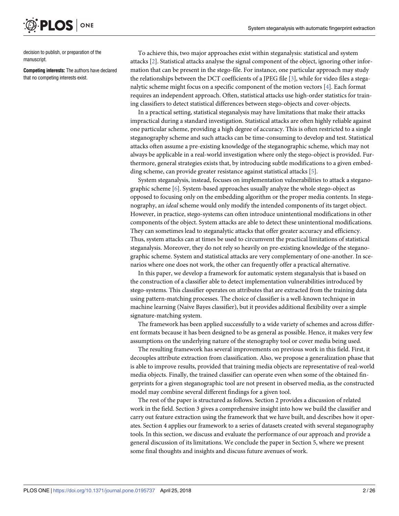decision to publish, or preparation of the manuscript.

<span id="page-2-0"></span>PLOS

**Competing interests:** The authors have declared that no competing interests exist.

ONE

To achieve this, two major approaches exist within steganalysis: statistical and system attacks [\[2\]](#page-24-0). Statistical attacks analyse the signal component of the object, ignoring other information that can be present in the stego-file. For instance, one particular approach may study the relationships between the DCT coefficients of a JPEG file [\[3](#page-24-0)], while for video files a steganalytic scheme might focus on a specific component of the motion vectors [\[4\]](#page-24-0). Each format requires an independent approach. Often, statistical attacks use high-order statistics for training classifiers to detect statistical differences between stego-objects and cover-objects.

In a practical setting, statistical steganalysis may have limitations that make their attacks impractical during a standard investigation. Statistical attacks are often highly reliable against one particular scheme, providing a high degree of accuracy. This is often restricted to a single steganography scheme and such attacks can be time-consuming to develop and test. Statistical attacks often assume a pre-existing knowledge of the steganographic scheme, which may not always be applicable in a real-world investigation where only the stego-object is provided. Furthermore, general strategies exists that, by introducing subtle modifications to a given embedding scheme, can provide greater resistance against statistical attacks [\[5](#page-24-0)].

System steganalysis, instead, focuses on implementation vulnerabilities to attack a steganographic scheme [[6](#page-24-0)]. System-based approaches usually analyze the whole stego-object as opposed to focusing only on the embedding algorithm or the proper media contents. In steganography, an ideal scheme would only modify the intended components of its target object. However, in practice, stego-systems can often introduce unintentional modifications in other components of the object. System attacks are able to detect these unintentional modifications. They can sometimes lead to steganalytic attacks that offer greater accuracy and efficiency. Thus, system attacks can at times be used to circumvent the practical limitations of statistical steganalysis. Moreover, they do not rely so heavily on pre-existing knowledge of the steganographic scheme. System and statistical attacks are very complementary of one-another. In scenarios where one does not work, the other can frequently offer a practical alternative.

In this paper, we develop a framework for automatic system steganalysis that is based on the construction of a classifier able to detect implementation vulnerabilities introduced by stego-systems. This classifier operates on attributes that are extracted from the training data using pattern-matching processes. The choice of classifier is a well-known technique in machine learning (Naive Bayes classifier), but it provides additional flexibility over a simple signature-matching system.

The framework has been applied successfully to a wide variety of schemes and across different formats because it has been designed to be as general as possible. Hence, it makes very few assumptions on the underlying nature of the stenography tool or cover media being used.

The resulting framework has several improvements on previous work in this field. First, it decouples attribute extraction from classification. Also, we propose a generalization phase that is able to improve results, provided that training media objects are representative of real-world media objects. Finally, the trained classifier can operate even when some of the obtained fingerprints for a given steganographic tool are not present in observed media, as the constructed model may combine several different findings for a given tool.

The rest of the paper is structured as follows. Section 2 provides a discussion of related work in the field. Section 3 gives a comprehensive insight into how we build the classifier and carry out feature extraction using the framework that we have built, and describes how it operates. Section 4 applies our framework to a series of datasets created with several steganography tools. In this section, we discuss and evaluate the performance of our approach and provide a general discussion of its limitations. We conclude the paper in Section 5, where we present some final thoughts and insights and discuss future avenues of work.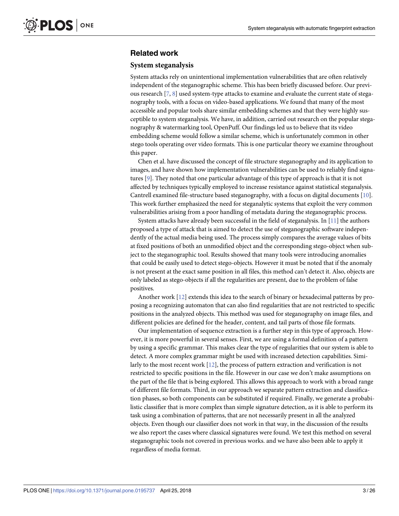# <span id="page-3-0"></span>**Related work**

### **System steganalysis**

System attacks rely on unintentional implementation vulnerabilities that are often relatively independent of the steganographic scheme. This has been briefly discussed before. Our previous research [\[7,](#page-24-0) [8](#page-24-0)] used system-type attacks to examine and evaluate the current state of steganography tools, with a focus on video-based applications. We found that many of the most accessible and popular tools share similar embedding schemes and that they were highly susceptible to system steganalysis. We have, in addition, carried out research on the popular steganography & watermarking tool, OpenPuff. Our findings led us to believe that its video embedding scheme would follow a similar scheme, which is unfortunately common in other stego tools operating over video formats. This is one particular theory we examine throughout this paper.

Chen et al. have discussed the concept of file structure steganography and its application to images, and have shown how implementation vulnerabilities can be used to reliably find signatures [\[9](#page-24-0)]. They noted that one particular advantage of this type of approach is that it is not affected by techniques typically employed to increase resistance against statistical steganalysis. Cantrell examined file-structure based steganography, with a focus on digital documents [[10](#page-24-0)]. This work further emphasized the need for steganalytic systems that exploit the very common vulnerabilities arising from a poor handling of metadata during the steganographic process.

System attacks have already been successful in the field of steganalysis. In  $[11]$  the authors proposed a type of attack that is aimed to detect the use of steganographic software independently of the actual media being used. The process simply compares the average values of bits at fixed positions of both an unmodified object and the corresponding stego-object when subject to the steganographic tool. Results showed that many tools were introducing anomalies that could be easily used to detect stego-objects. However it must be noted that if the anomaly is not present at the exact same position in all files, this method can't detect it. Also, objects are only labeled as stego-objects if all the regularities are present, due to the problem of false positives.

Another work [\[12\]](#page-24-0) extends this idea to the search of binary or hexadecimal patterns by proposing a recognizing automaton that can also find regularities that are not restricted to specific positions in the analyzed objects. This method was used for steganography on image files, and different policies are defined for the header, content, and tail parts of those file formats.

Our implementation of sequence extraction is a further step in this type of approach. However, it is more powerful in several senses. First, we are using a formal definition of a pattern by using a specific grammar. This makes clear the type of regularities that our system is able to detect. A more complex grammar might be used with increased detection capabilities. Similarly to the most recent work [\[12](#page-24-0)], the process of pattern extraction and verification is not restricted to specific positions in the file. However in our case we don't make assumptions on the part of the file that is being explored. This allows this approach to work with a broad range of different file formats. Third, in our approach we separate pattern extraction and classification phases, so both components can be substituted if required. Finally, we generate a probabilistic classifier that is more complex than simple signature detection, as it is able to perform its task using a combination of patterns, that are not necessarily present in all the analyzed objects. Even though our classifier does not work in that way, in the discussion of the results we also report the cases where classical signatures were found. We test this method on several steganographic tools not covered in previous works. and we have also been able to apply it regardless of media format.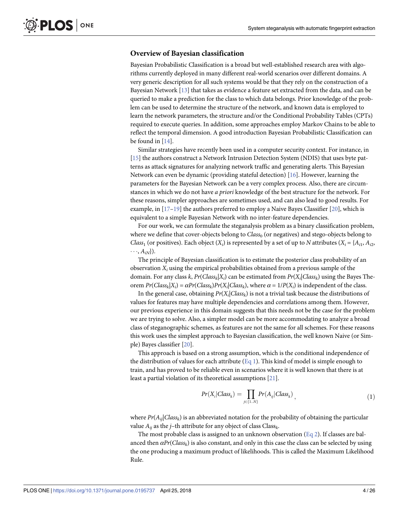# <span id="page-4-0"></span>**Overview of Bayesian classification**

Bayesian Probabilistic Classification is a broad but well-established research area with algorithms currently deployed in many different real-world scenarios over different domains. A very generic description for all such systems would be that they rely on the construction of a Bayesian Network [\[13](#page-24-0)] that takes as evidence a feature set extracted from the data, and can be queried to make a prediction for the class to which data belongs. Prior knowledge of the problem can be used to determine the structure of the network, and known data is employed to learn the network parameters, the structure and/or the Conditional Probability Tables (CPTs) required to execute queries. In addition, some approaches employ Markov Chains to be able to reflect the temporal dimension. A good introduction Bayesian Probabilistic Classification can be found in [\[14\]](#page-24-0).

Similar strategies have recently been used in a computer security context. For instance, in [\[15\]](#page-24-0) the authors construct a Network Intrusion Detection System (NDIS) that uses byte patterns as attack signatures for analyzing network traffic and generating alerts. This Bayesian Network can even be dynamic (providing stateful detection) [ $16$ ]. However, learning the parameters for the Bayesian Network can be a very complex process. Also, there are circumstances in which we do not have *a priori* knowledge of the best structure for the network. For these reasons, simpler approaches are sometimes used, and can also lead to good results. For example, in [\[17–19\]](#page-24-0) the authors preferred to employ a Naive Bayes Classifier [\[20\]](#page-25-0), which is equivalent to a simple Bayesian Network with no inter-feature dependencies.

For our work, we can formulate the steganalysis problem as a binary classification problem, where we define that cover-objects belong to  $\mathit{Class}_0$  (or negatives) and stego-objects belong to *Class*<sub>1</sub> (or positives). Each object  $(X_i)$  is represented by a set of up to N attributes  $(X_i = \{A_{i1}, A_{i2}, \ldots, A_{iN}\})$  $\cdots$ ,  $A_{iN}$ ).

The principle of Bayesian classification is to estimate the posterior class probability of an observation  $X_i$  using the empirical probabilities obtained from a previous sample of the domain. For any class k,  $Pr(Class_k|X_i)$  can be estimated from  $Pr(X_i|Class_k)$  using the Bayes Theorem  $Pr(Class_k|X_i) = \alpha Pr(Class_k) Pr(X_i|Class_k)$ , where  $\alpha = 1/P(X_i)$  is independent of the class.

In the general case, obtaining  $Pr(X_i|Class_k)$  is not a trivial task because the distributions of values for features may have multiple dependencies and correlations among them. However, our previous experience in this domain suggests that this needs not be the case for the problem we are trying to solve. Also, a simpler model can be more accommodating to analyze a broad class of steganographic schemes, as features are not the same for all schemes. For these reasons this work uses the simplest approach to Bayesian classification, the well known Naive (or Simple) Bayes classifier [\[20\]](#page-25-0).

This approach is based on a strong assumption, which is the conditional independence of the distribution of values for each attribute ( $E_q$ 1). This kind of model is simple enough to train, and has proved to be reliable even in scenarios where it is well known that there is at least a partial violation of its theoretical assumptions [\[21\]](#page-25-0).

$$
Pr(X_i|Class_k) = \prod_{j \in \{1..N\}} Pr(A_{ij}|Class_k), \qquad (1)
$$

where  $Pr(A_{ij}|Class_k)$  is an abbreviated notation for the probability of obtaining the particular value  $A_{ij}$  as the  $j$ –th attribute for any object of class Class<sub>k</sub>.

The most probable class is assigned to an unknown observation  $(Eq 2)$ . If classes are balanced then  $\alpha Pr(Class_k)$  is also constant, and only in this case the class can be selected by using the one producing a maximum product of likelihoods. This is called the Maximum Likelihood Rule.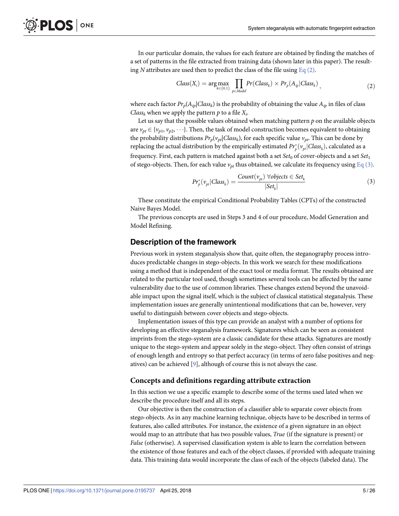In our particular domain, the values for each feature are obtained by finding the matches of a set of patterns in the file extracted from training data (shown later in this paper). The resulting N attributes are used then to predict the class of the file using  $Eq(2)$ .

$$
Class(X_i) = \arg\max_{k \in \{0,1\}} \prod_{p \in Model} Pr(Class_k) \times Pr_p(A_{ip}|Class_k), \qquad (2)
$$

where each factor  $Pr_p(A_{ip}|Class_k)$  is the probability of obtaining the value  $A_{ip}$  in files of class *Class<sub>k</sub>* when we apply the pattern  $p$  to a file  $X_i$ .

Let us say that the possible values obtained when matching pattern  $p$  on the available objects are  $v_{pt} \in \{v_{p1}, v_{p2}, \dots\}$ . Then, the task of model construction becomes equivalent to obtaining the probability distributions  $Pr_p(v_{pt}|Class_k)$ , for each specific value  $v_{pt}$ . This can be done by replacing the actual distribution by the empirically estimated  $Pr_{p}^*(v_{pt}|Class_k)$ , calculated as a frequency. First, each pattern is matched against both a set  $Set_0$  of cover-objects and a set  $Set_1$ of stego-objects. Then, for each value  $v_{pt}$  thus obtained, we calculate its frequency using  $\underline{Eq(3)}$ .

$$
Pr_p^*(v_{pt}|Class_k) = \frac{Count(v_{pt}) \ \forall objects \in Set_k}{|Set_k|} \tag{3}
$$

These constitute the empirical Conditional Probability Tables (CPTs) of the constructed Naive Bayes Model.

The previous concepts are used in Steps 3 and 4 of our procedure, Model Generation and Model Refining.

## **Description of the framework**

Previous work in system steganalysis show that, quite often, the steganography process introduces predictable changes in stego-objects. In this work we search for these modifications using a method that is independent of the exact tool or media format. The results obtained are related to the particular tool used, though sometimes several tools can be affected by the same vulnerability due to the use of common libraries. These changes extend beyond the unavoidable impact upon the signal itself, which is the subject of classical statistical steganalysis. These implementation issues are generally unintentional modifications that can be, however, very useful to distinguish between cover objects and stego-objects.

Implementation issues of this type can provide an analyst with a number of options for developing an effective steganalysis framework. Signatures which can be seen as consistent imprints from the stego-system are a classic candidate for these attacks. Signatures are mostly unique to the stego-system and appear solely in the stego-object. They often consist of strings of enough length and entropy so that perfect accuracy (in terms of zero false positives and negatives) can be achieved  $[9]$ , although of course this is not always the case.

## **Concepts and definitions regarding attribute extraction**

In this section we use a specific example to describe some of the terms used lated when we describe the procedure itself and all its steps.

Our objective is then the construction of a classifier able to separate cover objects from stego-objects. As in any machine learning technique, objects have to be described in terms of features, also called attributes. For instance, the existence of a given signature in an object would map to an attribute that has two possible values, True (if the signature is present) or False (otherwise). A supervised classification system is able to learn the correlation between the existence of those features and each of the object classes, if provided with adequate training data. This training data would incorporate the class of each of the objects (labeled data). The

<span id="page-5-0"></span>PLOS ONE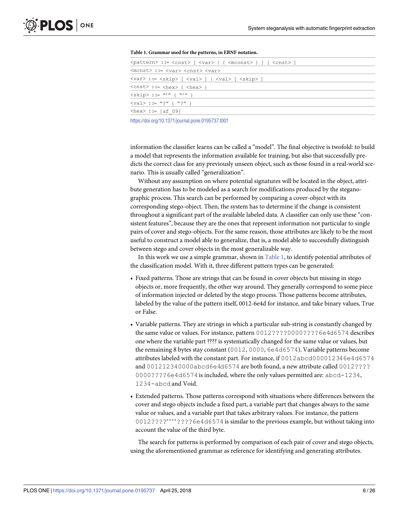<span id="page-6-0"></span>

| Twele it straining about for the patterney in EDIA hotation.                                                          |  |
|-----------------------------------------------------------------------------------------------------------------------|--|
| $\{pattern\}$ := $\{cnst\}$ $\{var\}$ $\{$ $\{meanst\}$ $\}$ $\{$ $\{cnst\}$ $\}$                                     |  |
| <mcnst> ::= <var> <cnst> <var></var></cnst></var></mcnst>                                                             |  |
| $\langle var \rangle ::= \langle skip \rangle [ \langle val \rangle ]   \langle val \rangle [ \langle skip \rangle ]$ |  |
| $\langle \text{cnst}\rangle$ ::= $\langle \text{hex}\rangle$ { $\langle \text{hex}\rangle$ }                          |  |
| $\langle$ skip> ::= "*" { "*" }                                                                                       |  |
| $\langle val \rangle ::= "\gamma" {\{ \}"}"$                                                                          |  |
| $\text{thex}$ : = [af 09]                                                                                             |  |
|                                                                                                                       |  |

**[Table 1.](#page-5-0) Grammar used for the patterns, in EBNF notation.**

<https://doi.org/10.1371/journal.pone.0195737.t001>

information the classifier learns can be called a "model". The final objective is twofold: to build a model that represents the information available for training, but also that successfully predicts the correct class for any previously unseen object, such as those found in a real-world scenario. This is usually called "generalization".

Without any assumption on where potential signatures will be located in the object, attribute generation has to be modeled as a search for modifications produced by the steganographic process. This search can be performed by comparing a cover-object with its corresponding stego-object. Then, the system has to determine if the change is consistent throughout a significant part of the available labeled data. A classifier can only use these "consistent features", because they are the ones that represent information not particular to single pairs of cover and stego-objects. For the same reason, those attributes are likely to be the most useful to construct a model able to generalize, that is, a model able to successfully distinguish between stego and cover objects in the most generalizable way.

In this work we use a simple grammar, shown in  $Table 1$ , to identify potential attributes of the classification model. With it, three different pattern types can be generated:

- Fixed patterns. Those are strings that can be found in cover objects but missing in stego objects or, more frequently, the other way around. They generally correspond to some piece of information injected or deleted by the stego process. Those patterns become attributes, labeled by the value of the pattern itself, 0012-6e4d for instance, and take binary values, True or False.
- Variable patterns. They are strings in which a particular sub-string is constantly changed by the same value or values. For instance, pattern 0012????0000????6e4d6574 describes one where the variable part ???? is systematically changed for the same value or values, but the remaining 8 bytes stay constant (0012, 0000, 6e4d6574). Variable patterns become attributes labeled with the constant part. For instance, if 0012abcd000012346e4d6574 and 001212340000abcd6e4d6574 are both found, a new attribute called 0012???? 0000????6e4d6574is included, where the only values permitted are: abcd-1234, 1234-abcd and Void.
- Extended patterns. Those patterns correspond with situations where differences between the cover and stego objects include a fixed part, a variable part that changes always to the same value or values, and a variable part that takes arbitrary values. For instance, the pattern 0012????\*\*\*\*????6e4d6574 is similar to the previous example, but without taking into account the value of the third byte.

The search for patterns is performed by comparison of each pair of cover and stego objects, using the aforementioned grammar as reference for identifying and generating attributes.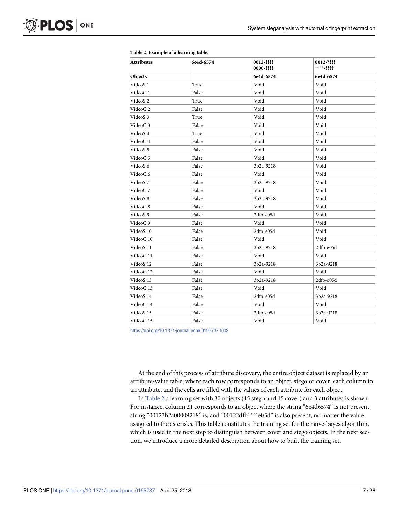| Attributes           | 6e4d-6574 | 0012-????<br>0000-???? | 0012-????<br>$***-2222$ |  |
|----------------------|-----------|------------------------|-------------------------|--|
| Objects              |           | 6e4d-6574              | 6e4d-6574               |  |
| VideoS 1             | True      | Void                   | Void                    |  |
| VideoC1              | False     | Void                   | Void                    |  |
| VideoS <sub>2</sub>  | True      | Void                   | Void                    |  |
| VideoC <sub>2</sub>  | False     | Void                   | Void                    |  |
| VideoS 3             | True      | Void                   | Void                    |  |
| VideoC <sub>3</sub>  | False     | Void                   | Void                    |  |
| VideoS 4             | True      | Void                   | Void                    |  |
| VideoC <sub>4</sub>  | False     | Void                   | Void                    |  |
| VideoS 5             | False     | Void                   | Void                    |  |
| VideoC <sub>5</sub>  | False     | Void                   | Void                    |  |
| VideoS 6             | False     | 3b2a-9218              | Void                    |  |
| VideoC 6             | False     | Void                   | Void                    |  |
| VideoS 7             | False     | 3b2a-9218              | Void                    |  |
| VideoC <sub>7</sub>  | False     | Void                   | Void                    |  |
| VideoS 8             | False     | 3b2a-9218              | Void                    |  |
| VideoC <sub>8</sub>  | False     | Void                   | Void                    |  |
| VideoS 9             | False     | 2dfb-e05d              | Void                    |  |
| VideoC <sub>9</sub>  | False     | Void                   | Void                    |  |
| VideoS <sub>10</sub> | False     | 2dfb-e05d              | Void                    |  |
| VideoC <sub>10</sub> | False     | Void                   | Void                    |  |
| VideoS 11            | False     | 3b2a-9218              | 2dfb-e05d               |  |
| VideoC <sub>11</sub> | False     | Void                   | Void                    |  |
| VideoS <sub>12</sub> | False     | 3b2a-9218              | 3b2a-9218               |  |
| VideoC <sub>12</sub> | False     | Void<br>Void           |                         |  |
| VideoS 13            | False     | 3b2a-9218              | 2dfb-e05d               |  |
| VideoC <sub>13</sub> | False     | Void                   | Void                    |  |
| VideoS 14            | False     | 2dfb-e05d              | 3b2a-9218               |  |
| VideoC 14            | False     | Void                   | Void                    |  |
| VideoS 15            | False     | 2dfb-e05d              | 3b2a-9218               |  |
| VideoC <sub>15</sub> | False     | Void                   | Void                    |  |

#### <span id="page-7-0"></span>**[Table 2.](#page-6-0) Example of a learning table.**

<https://doi.org/10.1371/journal.pone.0195737.t002>

At the end of this process of attribute discovery, the entire object dataset is replaced by an attribute-value table, where each row corresponds to an object, stego or cover, each column to an attribute, and the cells are filled with the values of each attribute for each object.

In [Table 2](#page-6-0) a learning set with 30 objects (15 stego and 15 cover) and 3 attributes is shown. For instance, column 21 corresponds to an object where the string "6e4d6574" is not present, string "00123b2a00009218" is, and "00122dfb\*\*\*\*e05d" is also present, no matter the value assigned to the asterisks. This table constitutes the training set for the naive-bayes algorithm, which is used in the next step to distinguish between cover and stego objects. In the next section, we introduce a more detailed description about how to built the training set.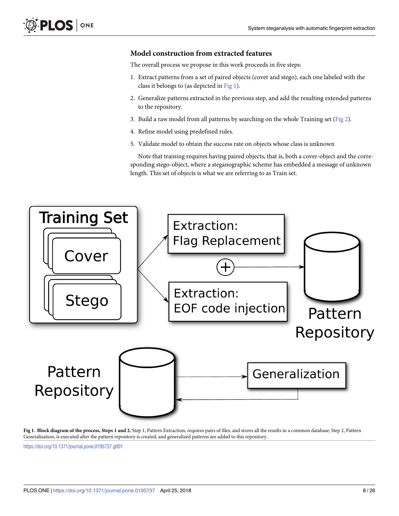# <span id="page-8-0"></span>**Model construction from extracted features**

The overall process we propose in this work proceeds in five steps:

- 1. Extract patterns from a set of paired objects (cover and stego), each one labeled with the class it belongs to (as depicted in  $Fig 1$ ).
- 2. Generalize patterns extracted in the previous step, and add the resulting extended patterns to the repository.
- 3. Build a raw model from all patterns by searching on the whole Training set ( $Fig 2$ ).
- 4. Refine model using predefined rules.
- 5. Validate model to obtain the success rate on objects whose class is unknown

Note that training requires having paired objects, that is, both a cover-object and the corresponding stego-object, where a steganographic scheme has embedded a message of unknown length. This set of objects is what we are referring to as Train set.



**[Fig 1. B](#page-7-0)lock diagram of the process, Steps 1 and 2.** Step 1, Pattern Extraction, requires pairs of files, and stores all the results in a common database; Step 2, Pattern Generalization, is executed after the pattern repository is created, and generalized patterns are added to this repository.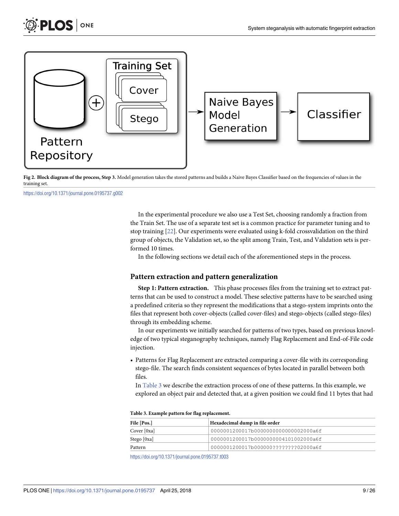<span id="page-9-0"></span>

**[Fig 2. B](#page-7-0)lock diagram of the process, Step 3.** Model generation takes the stored patterns and builds a Naive Bayes Classifier based on the frequencies of values in the training set.

<https://doi.org/10.1371/journal.pone.0195737.g002>

In the experimental procedure we also use a Test Set, choosing randomly a fraction from the Train Set. The use of a separate test set is a common practice for parameter tuning and to stop training [[22](#page-25-0)]. Our experiments were evaluated using k-fold crossvalidation on the third group of objects, the Validation set, so the split among Train, Test, and Validation sets is performed 10 times.

In the following sections we detail each of the aforementioned steps in the process.

#### **Pattern extraction and pattern generalization**

**Step 1: Pattern extraction.** This phase processes files from the training set to extract patterns that can be used to construct a model. These selective patterns have to be searched using a predefined criteria so they represent the modifications that a stego-system imprints onto the files that represent both cover-objects (called cover-files) and stego-objects (called stego-files) through its embedding scheme.

In our experiments we initially searched for patterns of two types, based on previous knowledge of two typical steganography techniques, namely Flag Replacement and End-of-File code injection.

• Patterns for Flag Replacement are extracted comparing a cover-file with its corresponding stego-file. The search finds consistent sequences of bytes located in parallel between both files.

In  $Table 3$  we describe the extraction process of one of these patterns. In this example, we explored an object pair and detected that, at a given position we could find 11 bytes that had

|  |  | Table 3. Example pattern for flag replacement. |
|--|--|------------------------------------------------|
|--|--|------------------------------------------------|

| File [Pos.]   | Hexadecimal dump in file order        |
|---------------|---------------------------------------|
| Cover $[0xa]$ | 0000001200017b00000000000000002000a6f |
| Stego [0xa]   | 0000001200017b0000000004101002000a6f  |
| Pattern       | 0000001200017b000000????????02000a6f  |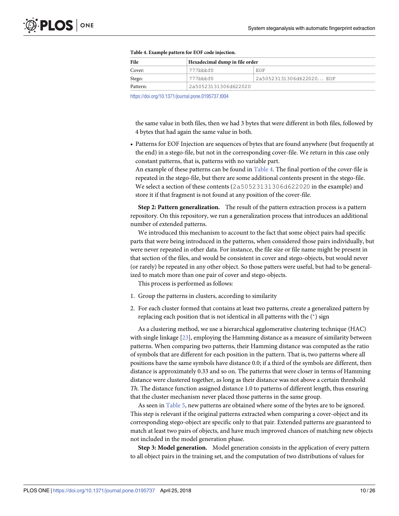<span id="page-10-0"></span>

| File     | Hexadecimal dump in file order |                          |  |  |
|----------|--------------------------------|--------------------------|--|--|
| Cover:   | 777bbbf0                       | EOF                      |  |  |
| Stego:   | 777bbbf0                       | 2a50523131306d622020 EOF |  |  |
| Pattern: | 2a50523131306d622020           |                          |  |  |

| Table 4. Example pattern for EOF code injection. |  |
|--------------------------------------------------|--|
|--------------------------------------------------|--|

<https://doi.org/10.1371/journal.pone.0195737.t004>

the same value in both files, then we had 3 bytes that were different in both files, followed by 4 bytes that had again the same value in both.

• Patterns for EOF Injection are sequences of bytes that are found anywhere (but frequently at the end) in a stego-file, but not in the corresponding cover-file. We return in this case only constant patterns, that is, patterns with no variable part.

An example of these patterns can be found in  $Table 4$ . The final portion of the cover-file is repeated in the stego-file, but there are some additional contents present in the stego-file. We select a section of these contents (2a50523131306d622020 in the example) and store it if that fragment is not found at any position of the cover-file.

**Step 2: Pattern generalization.** The result of the pattern extraction process is a pattern repository. On this repository, we run a generalization process that introduces an additional number of extended patterns.

We introduced this mechanism to account to the fact that some object pairs had specific parts that were being introduced in the patterns, when considered those pairs individually, but were never repeated in other data. For instance, the file size or file name might be present in that section of the files, and would be consistent in cover and stego-objects, but would never (or rarely) be repeated in any other object. So those patters were useful, but had to be generalized to match more than one pair of cover and stego-objects.

This process is performed as follows:

- 1. Group the patterns in clusters, according to similarity
- 2. For each cluster formed that contains at least two patterns, create a generalized pattern by replacing each position that is not identical in all patterns with the (\*) sign

As a clustering method, we use a hierarchical agglomerative clustering technique (HAC) with single linkage  $[23]$  $[23]$  $[23]$ , employing the Hamming distance as a measure of similarity between patterns. When comparing two patterns, their Hamming distance was computed as the ratio of symbols that are different for each position in the pattern. That is, two patterns where all positions have the same symbols have distance 0.0; if a third of the symbols are different, then distance is approximately 0.33 and so on. The patterns that were closer in terms of Hamming distance were clustered together, as long as their distance was not above a certain threshold Th. The distance function assigned distance 1.0 to patterns of different length, thus ensuring that the cluster mechanism never placed those patterns in the same group.

As seen in Table 5, new patterns are obtained where some of the bytes are to be ignored. This step is relevant if the original patterns extracted when comparing a cover-object and its corresponding stego-object are specific only to that pair. Extended patterns are guaranteed to match at least two pairs of objects, and have much improved chances of matching new objects not included in the model generation phase.

**Step 3: Model generation.** Model generation consists in the application of every pattern to all object pairs in the training set, and the computation of two distributions of values for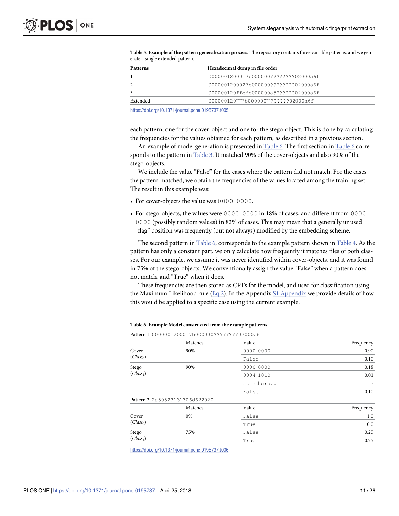| <b>Patterns</b> | Hexadecimal dump in file order        |
|-----------------|---------------------------------------|
|                 | 0000001200017b000000????????02000a6f  |
| 2               | 0000001200027b0000000????????02000a6f |
| 3               | 000000120ffefb000000a5??????02000a6f  |
| Extended        | 000000120****b000000**??????02000a6f  |

**[Table 5.](#page-9-0) Example of the pattern generalization process.** The repository contains three variable patterns, and we generate a single extended pattern.

<https://doi.org/10.1371/journal.pone.0195737.t005>

each pattern, one for the cover-object and one for the stego-object. This is done by calculating the frequencies for the values obtained for each pattern, as described in a previous section.

An example of model generation is presented in [Table 6.](#page-10-0) The first section in [Table 6](#page-10-0) corresponds to the pattern in [Table 3](#page-8-0). It matched 90% of the cover-objects and also 90% of the stego-objects.

We include the value "False" for the cases where the pattern did not match. For the cases the pattern matched, we obtain the frequencies of the values located among the training set. The result in this example was:

- For cover-objects the value was 0000 0000.
- For stego-objects, the values were 0000 0000 in 18% of cases, and different from 0000 0000 (possibly random values) in 82% of cases. This may mean that a generally unused "flag" position was frequently (but not always) modified by the embedding scheme.

The second pattern in [Table 6,](#page-10-0) corresponds to the example pattern shown in [Table 4.](#page-9-0) As the pattern has only a constant part, we only calculate how frequently it matches files of both classes. For our example, we assume it was never identified within cover-objects, and it was found in 75% of the stego-objects. We conventionally assign the value "False" when a pattern does not match, and "True" when it does.

These frequencies are then stored as CPTs for the model, and used for classification using the Maximum Likelihood rule ([Eq 2](#page-4-0)). In the Appendix [S1 Appendix](#page-23-0) we provide details of how this would be applied to a specific case using the current example.

|                       | Pattern 1: 0000001200017B0000000?????????02000a6f |           |           |
|-----------------------|---------------------------------------------------|-----------|-----------|
|                       | Matches                                           | Value     | Frequency |
| Cover                 | 90%                                               | 0000 0000 | 0.90      |
| (Class <sub>0</sub> ) |                                                   | False     | 0.10      |
| Stego                 | 90%                                               | 0000 0000 | 0.18      |
| (Class <sub>1</sub> ) |                                                   | 0004 1010 | 0.01      |
|                       |                                                   | others    | $\cdots$  |
|                       |                                                   | False     | 0.10      |
|                       | Pattern 2: 2a50523131306d622020                   |           |           |
|                       | Matches                                           | Value     | Frequency |
| Cover                 | 0%                                                | False     | 1.0       |
| (Class <sub>0</sub> ) |                                                   | True      | 0.0       |
| Stego                 | 75%                                               | False     | 0.25      |
| (Class <sub>1</sub> ) |                                                   | True      | 0.75      |
|                       |                                                   |           |           |

**[Table 6.](#page-10-0) Example Model constructed from the example patterns.**

 $\overline{P_{1}}$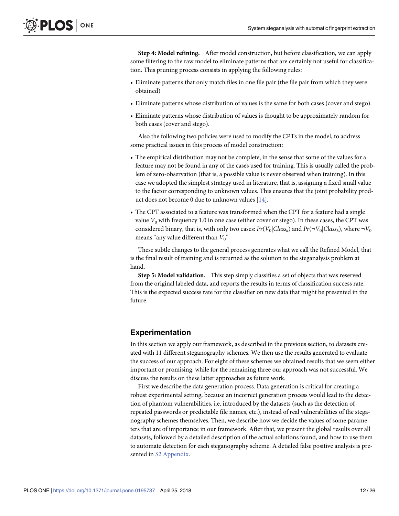<span id="page-12-0"></span>**Step 4: Model refining.** After model construction, but before classification, we can apply some filtering to the raw model to eliminate patterns that are certainly not useful for classification. This pruning process consists in applying the following rules:

- Eliminate patterns that only match files in one file pair (the file pair from which they were obtained)
- Eliminate patterns whose distribution of values is the same for both cases (cover and stego).
- Eliminate patterns whose distribution of values is thought to be approximately random for both cases (cover and stego).

Also the following two policies were used to modify the CPTs in the model, to address some practical issues in this process of model construction:

- The empirical distribution may not be complete, in the sense that some of the values for a feature may not be found in any of the cases used for training. This is usually called the problem of zero-observation (that is, a possible value is never observed when training). In this case we adopted the simplest strategy used in literature, that is, assigning a fixed small value to the factor corresponding to unknown values. This ensures that the joint probability product does not become 0 due to unknown values [[14](#page-24-0)].
- The CPT associated to a feature was transformed when the CPT for a feature had a single value  $V_0$  with frequency 1.0 in one case (either cover or stego). In these cases, the CPT was considered binary, that is, with only two cases:  $Pr(V_0|Class_k)$  and  $Pr(\neg V_0|Class_k)$ , where  $\neg V_0$ means "any value different than  $V_0$ "

These subtle changes to the general process generates what we call the Refined Model, that is the final result of training and is returned as the solution to the steganalysis problem at hand.

**Step 5: Model validation.** This step simply classifies a set of objects that was reserved from the original labeled data, and reports the results in terms of classification success rate. This is the expected success rate for the classifier on new data that might be presented in the future.

# **Experimentation**

In this section we apply our framework, as described in the previous section, to datasets created with 11 different steganography schemes. We then use the results generated to evaluate the success of our approach. For eight of these schemes we obtained results that we seem either important or promising, while for the remaining three our approach was not successful. We discuss the results on these latter approaches as future work.

First we describe the data generation process. Data generation is critical for creating a robust experimental setting, because an incorrect generation process would lead to the detection of phantom vulnerabilities, i.e. introduced by the datasets (such as the detection of repeated passwords or predictable file names, etc.), instead of real vulnerabilities of the steganography schemes themselves. Then, we describe how we decide the values of some parameters that are of importance in our framework. After that, we present the global results over all datasets, followed by a detailed description of the actual solutions found, and how to use them to automate detection for each steganography scheme. A detailed false positive analysis is presented in [S2 Appendix.](#page-23-0)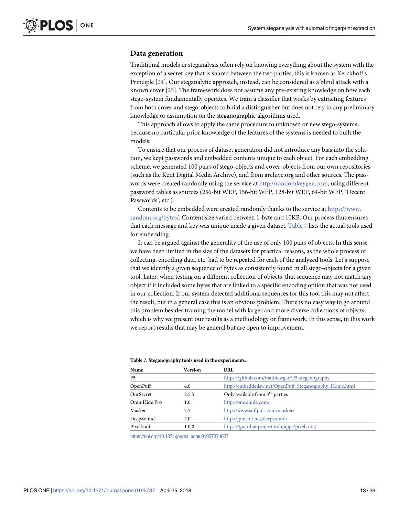# **Data generation**

Traditional models in steganalysis often rely on knowing everything about the system with the exception of a secret key that is shared between the two parties, this is known as Kerckhoff's Principle [[24](#page-25-0)]. Our steganalytic approach, instead, can be considered as a blind attack with a known cover [\[25\]](#page-25-0). The framework does not assume any pre-existing knowledge on how each stego-system fundamentally operates. We train a classifier that works by extracting features from both cover and stego-objects to build a distinguisher but does not rely in any preliminary knowledge or assumption on the steganographic algorithms used.

This approach allows to apply the same procedure to unknown or new stego-systems, because no particular prior knowledge of the features of the systems is needed to built the models.

To ensure that our process of dataset generation did not introduce any bias into the solution, we kept passwords and embedded contents unique to each object. For each embedding scheme, we generated 100 pairs of stego-objects and cover-objects from our own repositories (such as the Kent Digital Media Archive), and from archive.org and other sources. The passwords were created randomly using the service at <http://randomkeygen.com>, using different password tables as sources (256-bit WEP, 156-bit WEP, 128-bit WEP, 64-bit WEP, 'Decent Passwords', etc.).

Contents to be embedded were created randomly thanks to the service at [https://www.](https://www.random.org/bytes/) [random.org/bytes/.](https://www.random.org/bytes/) Content size varied between 1-byte and 10KB. Our process thus ensures that each message and key was unique inside a given dataset. [Table 7](#page-12-0) lists the actual tools used for embedding.

It can be argued against the generality of the use of only 100 pairs of objects. In this sense we have been limited in the size of the datasets for practical reasons, as the whole process of collecting, encoding data, etc. had to be repeated for each of the analyzed tools. Let's suppose that we identify a given sequence of bytes as consistently found in all stego-objects for a given tool. Later, when testing on a different collection of objects, that sequence may not match any object if it included some bytes that are linked to a specific encoding option that was not used in our collection. If our system detected additional sequences for this tool this may not affect the result, but in a general case this is an obvious problem. There is no easy way to go around this problem besides training the model with larger and more diverse collections of objects, which is why we present our results as a methodology or framework. In this sense, in this work we report results that may be general but are open to improvement.

| Name           | <b>Version</b> | URL                                                    |  |
|----------------|----------------|--------------------------------------------------------|--|
| F <sub>5</sub> |                | https://github.com/matthewgao/F5-steganography         |  |
| OpenPuff       | 4.0            | http://embeddedsw.net/OpenPuff_Steganography_Home.html |  |
| OurSecret      | 2.5.5          | Only available from 3 <sup>rd</sup> parties            |  |
| OmniHide Pro   | 1.0            | http://omnihide.com/                                   |  |
| Masker         | 7.5            | http://www.softpuls.com/masker/                        |  |
| DeepSound      | 2.0            | http://jpinsoft.net/deepsound/                         |  |
| Pixelknot      | 1.0.0          | https://guardianproject.info/apps/pixelknot/           |  |

#### **[Table 7.](#page-12-0) Steganography tools used in the experiments.**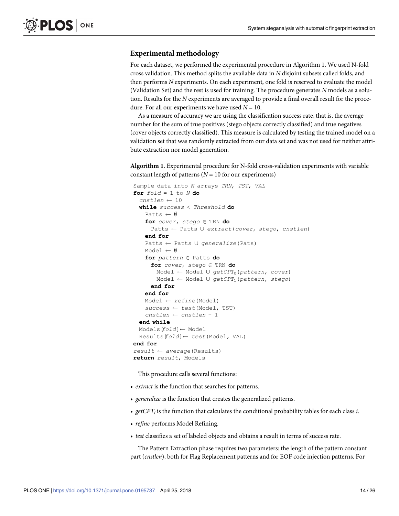# <span id="page-14-0"></span>**Experimental methodology**

For each dataset, we performed the experimental procedure in Algorithm 1. We used N-fold cross validation. This method splits the available data in N disjoint subsets called folds, and then performs N experiments. On each experiment, one fold is reserved to evaluate the model (Validation Set) and the rest is used for training. The procedure generates N models as a solution. Results for the N experiments are averaged to provide a final overall result for the procedure. For all our experiments we have used  $N = 10$ .

As a measure of accuracy we are using the classification success rate, that is, the average number for the sum of true positives (stego objects correctly classified) and true negatives (cover objects correctly classified). This measure is calculated by testing the trained model on a validation set that was randomly extracted from our data set and was not used for neither attribute extraction nor model generation.

**Algorithm 1**. Experimental procedure for N-fold cross-validation experiments with variable constant length of patterns ( $N = 10$  for our experiments)

```
Sample data into N arrays TRN, TST, VAL
for f \circ Id = 1 to N do
  cnstlen \leftarrow 10while success < Threshold do
   Patts \leftarrow \emptysetfor cover, stepo \in \text{TRN} do
     Patts Patts [ extract(cover, stego, cnstlen)
    end for
   Patts \leftarrow Patts U generalize(Pats)
   Model \leftarrow \emptysetfor pattern \in Patts do
      for cover, stepo \in \text{TRN} do
       Model \leftarrow Model \cup getCPT_0(pattern, cover)Model Model [ getCPT1(pattern, stego)
      end for
    end for
   Model \leftarrow refine(Model)success \leftarrow test(Model, TST)cnstlen cnstlen − 1
 end while
 Models[fold] \leftarrow ModelResults[fold] test(Model, VAL)
end for
result average(Results)
return result, Models
```
This procedure calls several functions:

- extract is the function that searches for patterns.
- generalize is the function that creates the generalized patterns.
- $getCPT_i$  is the function that calculates the conditional probability tables for each class *i*.
- refine performs Model Refining.
- test classifies a set of labeled objects and obtains a result in terms of success rate.

The Pattern Extraction phase requires two parameters: the length of the pattern constant part (cnstlen), both for Flag Replacement patterns and for EOF code injection patterns. For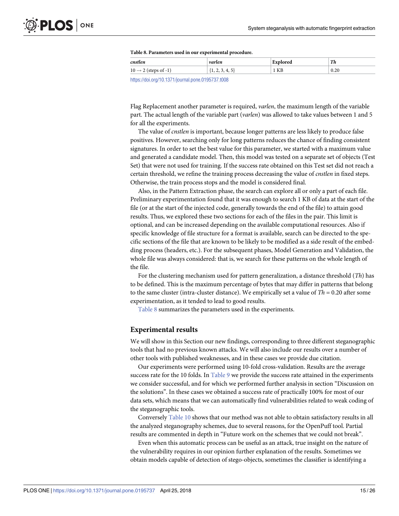| Table 8. Parameters used in our experimental procedure. |  |  |  |
|---------------------------------------------------------|--|--|--|
|---------------------------------------------------------|--|--|--|

<span id="page-15-0"></span>

| cnstlen                                                     | var<br>ممصا | rec  | Th   |
|-------------------------------------------------------------|-------------|------|------|
| . ^<br>$\sim$ $\sim$ $\sqrt{3}$ tcps 01<br>$10 \rightarrow$ | $\cdots$    | 1 KB | 0.20 |
|                                                             |             |      |      |

<https://doi.org/10.1371/journal.pone.0195737.t008>

Flag Replacement another parameter is required, varlen, the maximum length of the variable part. The actual length of the variable part (varlen) was allowed to take values between 1 and 5 for all the experiments.

The value of cnstlen is important, because longer patterns are less likely to produce false positives. However, searching only for long patterns reduces the chance of finding consistent signatures. In order to set the best value for this parameter, we started with a maximum value and generated a candidate model. Then, this model was tested on a separate set of objects (Test Set) that were not used for training. If the success rate obtained on this Test set did not reach a certain threshold, we refine the training process decreasing the value of cnstlen in fixed steps. Otherwise, the train process stops and the model is considered final.

Also, in the Pattern Extraction phase, the search can explore all or only a part of each file. Preliminary experimentation found that it was enough to search 1 KB of data at the start of the file (or at the start of the injected code, generally towards the end of the file) to attain good results. Thus, we explored these two sections for each of the files in the pair. This limit is optional, and can be increased depending on the available computational resources. Also if specific knowledge of file structure for a format is available, search can be directed to the specific sections of the file that are known to be likely to be modified as a side result of the embedding process (headers, etc.). For the subsequent phases, Model Generation and Validation, the whole file was always considered: that is, we search for these patterns on the whole length of the file.

For the clustering mechanism used for pattern generalization, a distance threshold  $(Th)$  has to be defined. This is the maximum percentage of bytes that may differ in patterns that belong to the same cluster (intra-cluster distance). We empirically set a value of  $Th = 0.20$  after some experimentation, as it tended to lead to good results.

[Table 8](#page-14-0) summarizes the parameters used in the experiments.

## **Experimental results**

We will show in this Section our new findings, corresponding to three different steganographic tools that had no previous known attacks. We will also include our results over a number of other tools with published weaknesses, and in these cases we provide due citation.

Our experiments were performed using 10-fold cross-validation. Results are the average success rate for the 10 folds. In Table 9 we provide the success rate attained in the experiments we consider successful, and for which we performed further analysis in section "Discussion on the solutions". In these cases we obtained a success rate of practically 100% for most of our data sets, which means that we can automatically find vulnerabilities related to weak coding of the steganographic tools.

Conversely Table 10 shows that our method was not able to obtain satisfactory results in all the analyzed steganography schemes, due to several reasons, for the OpenPuff tool. Partial results are commented in depth in "Future work on the schemes that we could not break".

Even when this automatic process can be useful as an attack, true insight on the nature of the vulnerability requires in our opinion further explanation of the results. Sometimes we obtain models capable of detection of stego-objects, sometimes the classifier is identifying a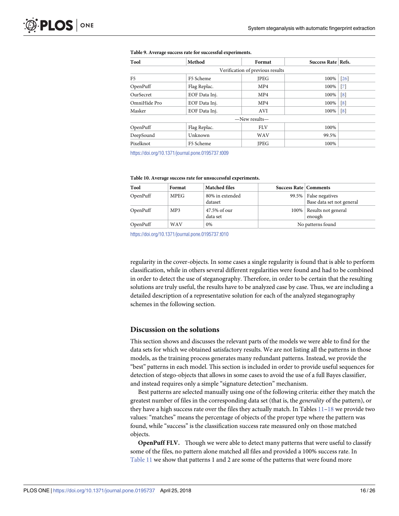| Tool         | Method        | Format                           | Success Rate   Refs. |                   |
|--------------|---------------|----------------------------------|----------------------|-------------------|
|              |               | Verification of previous results |                      |                   |
| F5           | F5 Scheme     | <b>JPEG</b>                      | 100%                 | $\left[26\right]$ |
| OpenPuff     | Flag Replac.  | MP4                              | 100%                 | $\vert 7 \vert$   |
| OurSecret    | EOF Data Inj. | MP4                              | 100%                 | $\lceil 8 \rceil$ |
| OmniHide Pro | EOF Data Inj. | MP4                              | 100%                 | $\lceil 8 \rceil$ |
| Masker       | EOF Data Inj. | AVI                              | 100%                 | $\lceil 8 \rceil$ |
|              |               | $-$ New results $-$              |                      |                   |
| OpenPuff     | Flag Replac.  | <b>FLV</b>                       | 100%                 |                   |
| DeepSound    | Unknown       | <b>WAV</b>                       | 99.5%                |                   |
| Pixelknot    | F5 Scheme     | <b>JPEG</b>                      | 100%                 |                   |

#### <span id="page-16-0"></span>**[Table 9.](#page-14-0) Average success rate for successful experiments.**

<https://doi.org/10.1371/journal.pone.0195737.t009>

| Table 10. Average success rate for unsuccessful experiments. |  |
|--------------------------------------------------------------|--|
|--------------------------------------------------------------|--|

| Tool     | Format      | <b>Matched files</b>       | <b>Success Rate   Comments</b> |                                                    |
|----------|-------------|----------------------------|--------------------------------|----------------------------------------------------|
| OpenPuff | <b>MPEG</b> | 80% in extended<br>dataset |                                | 99.5% False negatives<br>Base data set not general |
| OpenPuff | MP3         | 47.5% of our<br>data set   |                                | 100%   Results not general<br>enough               |
| OpenPuff | WAV         | 0%                         |                                | No patterns found                                  |

<https://doi.org/10.1371/journal.pone.0195737.t010>

regularity in the cover-objects. In some cases a single regularity is found that is able to perform classification, while in others several different regularities were found and had to be combined in order to detect the use of steganography. Therefore, in order to be certain that the resulting solutions are truly useful, the results have to be analyzed case by case. Thus, we are including a detailed description of a representative solution for each of the analyzed steganography schemes in the following section.

### **Discussion on the solutions**

This section shows and discusses the relevant parts of the models we were able to find for the data sets for which we obtained satisfactory results. We are not listing all the patterns in those models, as the training process generates many redundant patterns. Instead, we provide the "best" patterns in each model. This section is included in order to provide useful sequences for detection of stego-objects that allows in some cases to avoid the use of a full Bayes classifier, and instead requires only a simple "signature detection" mechanism.

Best patterns are selected manually using one of the following criteria: either they match the greatest number of files in the corresponding data set (that is, the generality of the pattern), or they have a high success rate over the files they actually match. In Tables  $11-18$  $11-18$  we provide two values: "matches" means the percentage of objects of the proper type where the pattern was found, while "success" is the classification success rate measured only on those matched objects.

**OpenPuff FLV.** Though we were able to detect many patterns that were useful to classify some of the files, no pattern alone matched all files and provided a 100% success rate. In Table 11 we show that patterns 1 and 2 are some of the patterns that were found more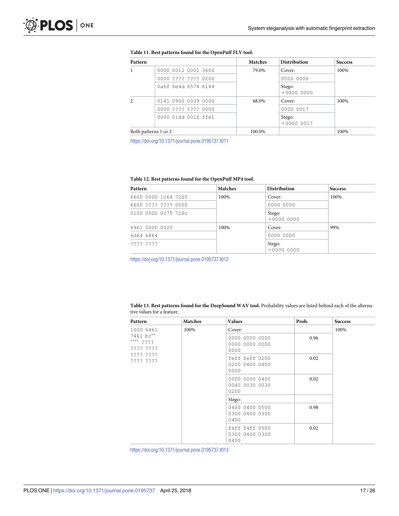<span id="page-17-0"></span>

| Pattern |                      | <b>Matches</b> | <b>Distribution</b>        | <b>Success</b> |
|---------|----------------------|----------------|----------------------------|----------------|
|         | 0000 0012 0001 3600  | 79.0%          | Cover:                     | 100%           |
|         | 0000 ???? ???? 0200  |                | 0000 0000                  |                |
|         | 0a6f 6e4d 6574 6144  |                | Stego:<br>$\neg$ 0000 0000 |                |
|         | 0141 0900 0039 0000  | 68.0%          | Cover:                     | 100%           |
|         | 0000 ???? ???? 0000  |                | 0000 0017                  |                |
|         | 0000 014d 001f ffe1  |                | Stego:<br>$\neg$ 0000 0017 |                |
|         | Both patterns 1 or 2 | 100.0%         |                            | 100%           |

#### **[Table 11.](#page-15-0) Best patterns found for the OpenPuff FLV tool.**

<https://doi.org/10.1371/journal.pone.0195737.t011>

### **[Table 12.](#page-18-0) Best patterns found for the OpenPuff MP4 tool.**

| Pattern             | <b>Matches</b> | <b>Distribution</b>        | <b>Success</b> |
|---------------------|----------------|----------------------------|----------------|
| 6600 0000 1c64 7265 | 100%           | Cover:                     | 100%           |
| 6600 ???? ???? 0000 |                | 0000 0000                  |                |
| 0100 0000 0c75 726c |                | Stego:<br>$\neg$ 0000 0000 |                |
| 6961 0000 0020      | 100%           | Cover:                     | 99%            |
| 6d64 6864           |                | 0000 0000                  |                |
| 2222 2222           |                | Stego:<br>$\neg$ 0000 0000 |                |

<https://doi.org/10.1371/journal.pone.0195737.t012>

| Table 13. Best patterns found for the DeepSound WAV tool. Probability values are listed behind each of the alterna- |  |
|---------------------------------------------------------------------------------------------------------------------|--|
| tive values for a feature.                                                                                          |  |

| Pattern                             | <b>Matches</b> | <b>Values</b>                            | Prob. | <b>Success</b> |
|-------------------------------------|----------------|------------------------------------------|-------|----------------|
| 1000 6461                           | 100%           | Cover:                                   |       | 100%           |
| 7461 bc**<br>**** ????<br>???? ???? |                | 0000 0000 0000<br>0000 0000 0000<br>0000 | 0.96  |                |
| ???? ????<br>???? ????              |                | feff feff 0200<br>0200 0400 0400<br>0000 | 0.02  |                |
|                                     |                | 0000 0000 0400<br>0040 0030 0030<br>0200 | 0.02  |                |
|                                     |                | Stego:                                   |       |                |
|                                     |                | 0400 0400 0500<br>0300 0400 0300<br>0400 | 0.98  |                |
|                                     |                | f4ff f4ff 0500<br>0300 0400 0300<br>0400 | 0.02  |                |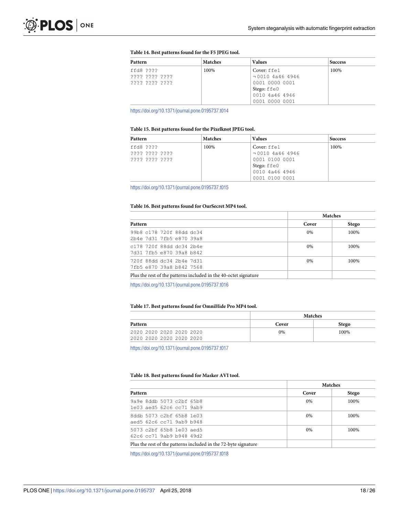#### <span id="page-18-0"></span>**[Table 14.](#page-19-0) Best patterns found for the F5 JPEG tool.**

| Pattern        | <b>Matches</b> | <b>Values</b>         | <b>Success</b> |
|----------------|----------------|-----------------------|----------------|
| ffd8 ????      | 100%           | Cover: ffe1           | 100%           |
| 2222 2222 2222 |                | $\neg$ 0010 4a46 4946 |                |
| 2222 2222 2222 |                | 0001 0000 0001        |                |
|                |                | Stego: ffe0           |                |
|                |                | 0010 4a46 4946        |                |
|                |                | 0001 0000 0001        |                |

<https://doi.org/10.1371/journal.pone.0195737.t014>

#### **[Table 15.](#page-19-0) Best patterns found for the Pixelknot JPEG tool.**

| Pattern        | <b>Matches</b> | <b>Values</b>         | <b>Success</b> |
|----------------|----------------|-----------------------|----------------|
| ffd8 ????      | 100%           | Cover: ffe1           | 100%           |
| ???? ???? ???? |                | $\neg$ 0010 4a46 4946 |                |
| ???? ???? ???? |                | 0001 0100 0001        |                |
|                |                | Stego: ffe0           |                |
|                |                | 0010 4a46 4946        |                |
|                |                | 0001 0100 0001        |                |

<https://doi.org/10.1371/journal.pone.0195737.t015>

#### **[Table 16.](#page-19-0) Best patterns found for OurSecret MP4 tool.**

| <b>Matches</b> |              |
|----------------|--------------|
| Cover          | <b>Stego</b> |
| $0\%$          | 100%         |
| $0\%$          | 100%         |
| $0\%$          | 100%         |
|                |              |
|                |              |

<https://doi.org/10.1371/journal.pone.0195737.t016>

#### **Table 17. Best patterns found for OmniHide Pro MP4 tool.**

|                          | <b>Matches</b> |              |
|--------------------------|----------------|--------------|
| <b>Pattern</b>           | Cover          | <b>Stego</b> |
| 2020 2020 2020 2020 2020 | 0%             | 100%         |
| 2020 2020 2020 2020 2020 |                |              |

<https://doi.org/10.1371/journal.pone.0195737.t017>

#### **[Table 18.](#page-15-0) Best patterns found for Masker AVI tool.**

|                                                                 |       | <b>Matches</b> |
|-----------------------------------------------------------------|-------|----------------|
| Pattern                                                         | Cover | <b>Stego</b>   |
| 9a9e 8ddb 5073 c2bf 65b8<br>1e03 aed5 62c6 cc71 9ab9            | $0\%$ | 100%           |
| 8ddb 5073 c2bf 65b8 1e03<br>aed5 62c6 cc71 9ab9 b948            | $0\%$ | 100%           |
| 5073 c2bf 65b8 1e03 aed5<br>$62c6$ $cc71$ 9ab9 b948 49d2        | $0\%$ | 100%           |
| Plus the rest of the patterns included in the 72-byte signature |       |                |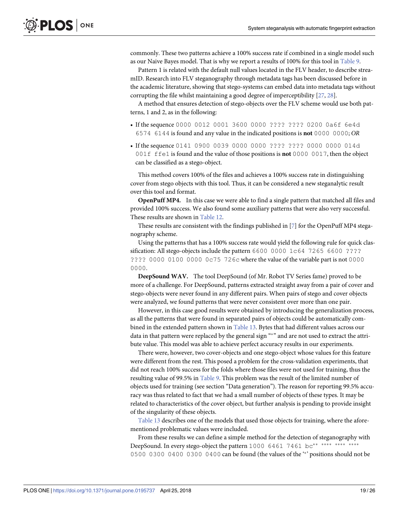<span id="page-19-0"></span>commonly. These two patterns achieve a 100% success rate if combined in a single model such as our Naive Bayes model. That is why we report a results of 100% for this tool in [Table 9.](#page-15-0)

Pattern 1 is related with the default null values located in the FLV header, to describe streamID. Research into FLV steganography through metadata tags has been discussed before in the academic literature, showing that stego-systems can embed data into metadata tags without corrupting the file whilst maintaining a good degree of imperceptibility [\[27,](#page-25-0) [28\]](#page-25-0).

A method that ensures detection of stego-objects over the FLV scheme would use both patterns, 1 and 2, as in the following:

- If the sequence 0000 0012 0001 3600 0000 ???? ???? 0200 0a6f 6e4d 6574 6144 is found and any value in the indicated positions is **not** 0000 0000; OR
- If the sequence 0141 0900 0039 0000 0000 ???? ???? 0000 0000 014d 001f ffe1 is found and the value of those positions is **not** 0000 0017, then the object can be classified as a stego-object.

This method covers 100% of the files and achieves a 100% success rate in distinguishing cover from stego objects with this tool. Thus, it can be considered a new steganalytic result over this tool and format.

**OpenPuff MP4.** In this case we were able to find a single pattern that matched all files and provided 100% success. We also found some auxiliary patterns that were also very successful. These results are shown in [Table 12.](#page-16-0)

These results are consistent with the findings published in [\[7](#page-24-0)] for the OpenPuff MP4 steganography scheme.

Using the patterns that has a 100% success rate would yield the following rule for quick classification: All stego-objects include the pattern 6600 0000 1c64 7265 6600 ???? ???? 0000 0100 0000 0c75 726c where the value of the variable part is not 0000 0000.

**DeepSound WAV.** The tool DeepSound (of Mr. Robot TV Series fame) proved to be more of a challenge. For DeepSound, patterns extracted straight away from a pair of cover and stego-objects were never found in any different pairs. When pairs of stego and cover objects were analyzed, we found patterns that were never consistent over more than one pair.

However, in this case good results were obtained by introducing the generalization process, as all the patterns that were found in separated pairs of objects could be automatically combined in the extended pattern shown in [Table 13](#page-16-0). Bytes that had different values across our data in that pattern were replaced by the general sign "\*" and are not used to extract the attribute value. This model was able to achieve perfect accuracy results in our experiments.

There were, however, two cover-objects and one stego-object whose values for this feature were different from the rest. This posed a problem for the cross-validation experiments, that did not reach 100% success for the folds where those files were not used for training, thus the resulting value of 99.5% in [Table 9](#page-15-0). This problem was the result of the limited number of objects used for training (see section "Data generation"). The reason for reporting 99.5% accuracy was thus related to fact that we had a small number of objects of these types. It may be related to characteristics of the cover object, but further analysis is pending to provide insight of the singularity of these objects.

[Table 13](#page-16-0) describes one of the models that used those objects for training, where the aforementioned problematic values were included.

From these results we can define a simple method for the detection of steganography with DeepSound. In every stego-object the pattern 1000 6461 7461 bc\*\* \*\*\* 0500 0300 0400 0300 0400 can be found (the values of the " positions should not be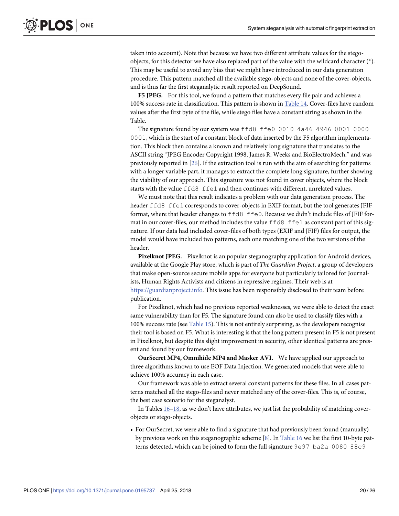taken into account). Note that because we have two different attribute values for the stegoobjects, for this detector we have also replaced part of the value with the wildcard character (\*). This may be useful to avoid any bias that we might have introduced in our data generation procedure. This pattern matched all the available stego-objects and none of the cover-objects, and is thus far the first steganalytic result reported on DeepSound.

**F5 JPEG.** For this tool, we found a pattern that matches every file pair and achieves a 100% success rate in classification. This pattern is shown in [Table 14.](#page-17-0) Cover-files have random values after the first byte of the file, while stego files have a constant string as shown in the Table.

The signature found by our system was ffd8 ffe0 0010 4a46 4946 0001 0000 0001, which is the start of a constant block of data inserted by the F5 algorithm implementation. This block then contains a known and relatively long signature that translates to the ASCII string "JPEG Encoder Copyright 1998, James R. Weeks and BioElectroMech." and was previously reported in [[26](#page-25-0)]. If the extraction tool is run with the aim of searching for patterns with a longer variable part, it manages to extract the complete long signature, further showing the viability of our approach. This signature was not found in cover objects, where the block starts with the value ffd8 ffe1 and then continues with different, unrelated values.

We must note that this result indicates a problem with our data generation process. The header ffd8 ffe1 corresponds to cover-objects in EXIF format, but the tool generates JFIF format, where that header changes to ffd8 ffe0. Because we didn't include files of JFIF format in our cover-files, our method includes the value ffd8 ffe1 as constant part of this signature. If our data had included cover-files of both types (EXIF and JFIF) files for output, the model would have included two patterns, each one matching one of the two versions of the header.

**Pixelknot JPEG.** Pixelknot is an popular steganography application for Android devices, available at the Google Play store, which is part of The Guardian Project, a group of developers that make open-source secure mobile apps for everyone but particularly tailored for Journalists, Human Rights Activists and citizens in repressive regimes. Their web is at [https://guardianproject.info.](https://guardianproject.info) This issue has been responsibly disclosed to their team before publication.

For Pixelknot, which had no previous reported weaknesses, we were able to detect the exact same vulnerability than for F5. The signature found can also be used to classify files with a 100% success rate (see [Table 15](#page-17-0)). This is not entirely surprising, as the developers recognise their tool is based on F5. What is interesting is that the long pattern present in F5 is not present in Pixelknot, but despite this slight improvement in security, other identical patterns are present and found by our framework.

**OurSecret MP4, Omnihide MP4 and Masker AVI.** We have applied our approach to three algorithms known to use EOF Data Injection. We generated models that were able to achieve 100% accuracy in each case.

Our framework was able to extract several constant patterns for these files. In all cases patterns matched all the stego-files and never matched any of the cover-files. This is, of course, the best case scenario for the steganalyst.

In Tables  $16-18$ , as we don't have attributes, we just list the probability of matching coverobjects or stego-objects.

• For OurSecret, we were able to find a signature that had previously been found (manually) by previous work on this steganographic scheme [\[8](#page-24-0)]. In [Table 16](#page-17-0) we list the first 10-byte patterns detected, which can be joined to form the full signature 9e97 ba2a 0080 88c9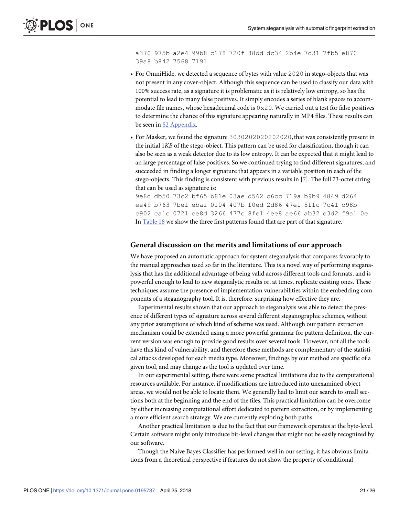a370 975b a2e4 99b8 c178 720f 88dd dc34 2b4e 7d31 7fb5 e870 39a8 b842 7568 7191.

- For OmniHide, we detected a sequence of bytes with value 2020 in stego-objects that was not present in any cover-object. Although this sequence can be used to classify our data with 100% success rate, as a signature it is problematic as it is relatively low entropy, so has the potential to lead to many false positives. It simply encodes a series of blank spaces to accommodate file names, whose hexadecimal code is  $0 \times 20$ . We carried out a test for false positives to determine the chance of this signature appearing naturally in MP4 files. These results can be seen in S<sub>2</sub> Appendix.
- For Masker, we found the signature 3030202020202020, that was consistently present in the initial 1KB of the stego-object. This pattern can be used for classification, though it can also be seen as a weak detector due to its low entropy. It can be expected that it might lead to an large percentage of false positives. So we continued trying to find different signatures, and succeeded in finding a longer signature that appears in a variable position in each of the stego-objects. This finding is consistent with previous results in  $[7]$  $[7]$  $[7]$ . The full 73-octet string that can be used as signature is:

9e8d db50 73c2 bf65 b81e 03ae d562 c6cc 719a b9b9 4849 d264 ee49 b763 7bef eba1 0104 407b f0ed 2d86 47e1 5ffc 7c41 c98b c902 ca1c 0721 ee8d 3266 477c 8fe1 4ee8 ae66 ab32 e3d2 f9a1 0e. In [Table 18](#page-17-0) we show the three first patterns found that are part of that signature.

#### **General discussion on the merits and limitations of our approach**

We have proposed an automatic approach for system steganalysis that compares favorably to the manual approaches used so far in the literature. This is a novel way of performing steganalysis that has the additional advantage of being valid across different tools and formats, and is powerful enough to lead to new steganalytic results or, at times, replicate existing ones. These techniques assume the presence of implementation vulnerabilities within the embedding components of a steganography tool. It is, therefore, surprising how effective they are.

Experimental results shown that our approach to steganalysis was able to detect the presence of different types of signature across several different steganographic schemes, without any prior assumptions of which kind of scheme was used. Although our pattern extraction mechanism could be extended using a more powerful grammar for pattern definition, the current version was enough to provide good results over several tools. However, not all the tools have this kind of vulnerability, and therefore these methods are complementary of the statistical attacks developed for each media type. Moreover, findings by our method are specific of a given tool, and may change as the tool is updated over time.

In our experimental setting, there were some practical limitations due to the computational resources available. For instance, if modifications are introduced into unexamined object areas, we would not be able to locate them. We generally had to limit our search to small sections both at the beginning and the end of the files. This practical limitation can be overcome by either increasing computational effort dedicated to pattern extraction, or by implementing a more efficient search strategy. We are currently exploring both paths.

Another practical limitation is due to the fact that our framework operates at the byte-level. Certain software might only introduce bit-level changes that might not be easily recognized by our software.

Though the Naive Bayes Classifier has performed well in our setting, it has obvious limitations from a theoretical perspective if features do not show the property of conditional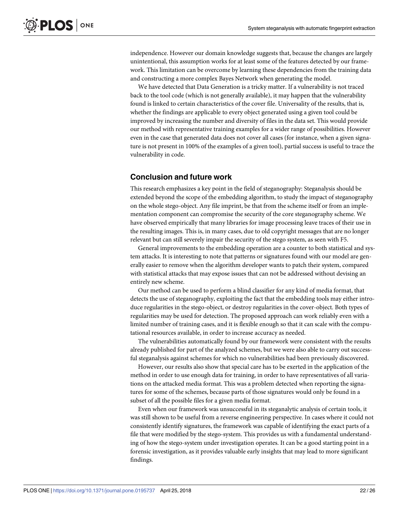<span id="page-22-0"></span>independence. However our domain knowledge suggests that, because the changes are largely unintentional, this assumption works for at least some of the features detected by our framework. This limitation can be overcome by learning these dependencies from the training data and constructing a more complex Bayes Network when generating the model.

We have detected that Data Generation is a tricky matter. If a vulnerability is not traced back to the tool code (which is not generally available), it may happen that the vulnerability found is linked to certain characteristics of the cover file. Universality of the results, that is, whether the findings are applicable to every object generated using a given tool could be improved by increasing the number and diversity of files in the data set. This would provide our method with representative training examples for a wider range of possibilities. However even in the case that generated data does not cover all cases (for instance, when a given signature is not present in 100% of the examples of a given tool), partial success is useful to trace the vulnerability in code.

# **Conclusion and future work**

This research emphasizes a key point in the field of steganography: Steganalysis should be extended beyond the scope of the embedding algorithm, to study the impact of steganography on the whole stego-object. Any file imprint, be that from the scheme itself or from an implementation component can compromise the security of the core steganography scheme. We have observed empirically that many libraries for image processing leave traces of their use in the resulting images. This is, in many cases, due to old copyright messages that are no longer relevant but can still severely impair the security of the stego system, as seen with F5.

General improvements to the embedding operation are a counter to both statistical and system attacks. It is interesting to note that patterns or signatures found with our model are generally easier to remove when the algorithm developer wants to patch their system, compared with statistical attacks that may expose issues that can not be addressed without devising an entirely new scheme.

Our method can be used to perform a blind classifier for any kind of media format, that detects the use of steganography, exploiting the fact that the embedding tools may either introduce regularities in the stego-object, or destroy regularities in the cover-object. Both types of regularities may be used for detection. The proposed approach can work reliably even with a limited number of training cases, and it is flexible enough so that it can scale with the computational resources available, in order to increase accuracy as needed.

The vulnerabilities automatically found by our framework were consistent with the results already published for part of the analyzed schemes, but we were also able to carry out successful steganalysis against schemes for which no vulnerabilities had been previously discovered.

However, our results also show that special care has to be exerted in the application of the method in order to use enough data for training, in order to have representatives of all variations on the attacked media format. This was a problem detected when reporting the signatures for some of the schemes, because parts of those signatures would only be found in a subset of all the possible files for a given media format.

Even when our framework was unsuccessful in its steganalytic analysis of certain tools, it was still shown to be useful from a reverse engineering perspective. In cases where it could not consistently identify signatures, the framework was capable of identifying the exact parts of a file that were modified by the stego-system. This provides us with a fundamental understanding of how the stego-system under investigation operates. It can be a good starting point in a forensic investigation, as it provides valuable early insights that may lead to more significant findings.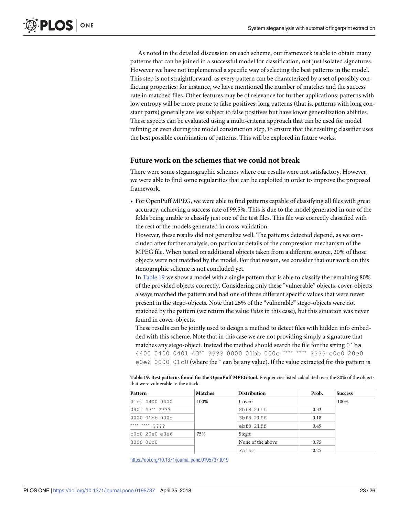<span id="page-23-0"></span>As noted in the detailed discussion on each scheme, our framework is able to obtain many patterns that can be joined in a successful model for classification, not just isolated signatures. However we have not implemented a specific way of selecting the best patterns in the model. This step is not straightforward, as every pattern can be characterized by a set of possibly conflicting properties: for instance, we have mentioned the number of matches and the success rate in matched files. Other features may be of relevance for further applications: patterns with low entropy will be more prone to false positives; long patterns (that is, patterns with long constant parts) generally are less subject to false positives but have lower generalization abilities. These aspects can be evaluated using a multi-criteria approach that can be used for model refining or even during the model construction step, to ensure that the resulting classifier uses the best possible combination of patterns. This will be explored in future works.

### **Future work on the schemes that we could not break**

There were some steganographic schemes where our results were not satisfactory. However, we were able to find some regularities that can be exploited in order to improve the proposed framework.

• For OpenPuff MPEG, we were able to find patterns capable of classifying all files with great accuracy, achieving a success rate of 99.5%. This is due to the model generated in one of the folds being unable to classify just one of the test files. This file was correctly classified with the rest of the models generated in cross-validation.

However, these results did not generalize well. The patterns detected depend, as we concluded after further analysis, on particular details of the compression mechanism of the MPEG file. When tested on additional objects taken from a different source, 20% of those objects were not matched by the model. For that reason, we consider that our work on this stenographic scheme is not concluded yet.

In [Table 19](#page-22-0) we show a model with a single pattern that is able to classify the remaining 80% of the provided objects correctly. Considering only these "vulnerable" objects, cover-objects always matched the pattern and had one of three different specific values that were never present in the stego-objects. Note that 25% of the "vulnerable" stego-objects were not matched by the pattern (we return the value False in this case), but this situation was never found in cover-objects.

These results can be jointly used to design a method to detect files with hidden info embedded with this scheme. Note that in this case we are not providing simply a signature that matches any stego-object. Instead the method should search the file for the string 01ba 4400 0400 0401 43\*\* ???? 0000 01bb 000c \*\*\*\* \*\*\*\* ???? c0c0 20e0 e0e6 0000 01c0 (where the  $*$  can be any value). If the value extracted for this pattern is

| Table 19. Best patterns found for the OpenPuff MPEG tool. Frequencies listed calculated over the 80% of the objects |  |  |
|---------------------------------------------------------------------------------------------------------------------|--|--|
| that were vulnerable to the attack.                                                                                 |  |  |

| Pattern          | <b>Matches</b> | <b>Distribution</b> | Prob. | <b>Success</b> |
|------------------|----------------|---------------------|-------|----------------|
| 01ba 4400 0400   | 100%           | Cover:              |       | 100%           |
| 0401 43** ????   |                | 2bf8 21ff           | 0.33  |                |
| 0000 01bb 000c   |                | 3bf8 21ff           | 0.18  |                |
| **** **** ????   |                | ebf8 21ff           | 0.49  |                |
| $c0c0$ 20e0 e0e6 | 75%            | Stego:              |       |                |
| 0000 01c0        |                | None of the above   | 0.75  |                |
|                  |                | False               | 0.25  |                |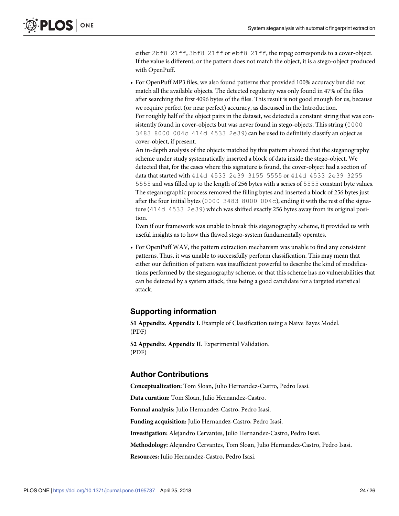<span id="page-24-0"></span>either 2bf8 21ff, 3bf8 21ff or ebf8 21ff, the mpeg corresponds to a cover-object. If the value is different, or the pattern does not match the object, it is a stego-object produced with OpenPuff.

• For OpenPuff MP3 files, we also found patterns that provided 100% accuracy but did not match all the available objects. The detected regularity was only found in 47% of the files after searching the first 4096 bytes of the files. This result is not good enough for us, because we require perfect (or near perfect) accuracy, as discussed in the Introduction. For roughly half of the object pairs in the dataset, we detected a constant string that was consistently found in cover-objects but was never found in stego-objects. This string (0000 3483 8000 004c 414d 4533 2e39) can be used to definitely classify an object as cover-object, if present.

An in-depth analysis of the objects matched by this pattern showed that the steganography scheme under study systematically inserted a block of data inside the stego-object. We detected that, for the cases where this signature is found, the cover-object had a section of data that started with 414d 4533 2e39 3155 5555 or 414d 4533 2e39 3255 5555 and was filled up to the length of 256 bytes with a series of 5555 constant byte values. The steganographic process removed the filling bytes and inserted a block of 256 bytes just after the four initial bytes (0000 3483 8000 004c), ending it with the rest of the signature (414d 4533 2e39) which was shifted exactly 256 bytes away from its original position.

Even if our framework was unable to break this steganography scheme, it provided us with useful insights as to how this flawed stego-system fundamentally operates.

• For OpenPuff WAV, the pattern extraction mechanism was unable to find any consistent patterns. Thus, it was unable to successfully perform classification. This may mean that either our definition of pattern was insufficient powerful to describe the kind of modifications performed by the steganography scheme, or that this scheme has no vulnerabilities that can be detected by a system attack, thus being a good candidate for a targeted statistical attack.

# **Supporting information**

**[S1 Appendix](http://www.plosone.org/article/fetchSingleRepresentation.action?uri=info:doi/10.1371/journal.pone.0195737.s001). Appendix I.** Example of Classification using a Naive Bayes Model. (PDF)

**[S2 Appendix](http://www.plosone.org/article/fetchSingleRepresentation.action?uri=info:doi/10.1371/journal.pone.0195737.s002). Appendix II.** Experimental Validation. (PDF)

# **Author Contributions**

**Conceptualization:** Tom Sloan, Julio Hernandez-Castro, Pedro Isasi.

**Data curation:** Tom Sloan, Julio Hernandez-Castro.

**Formal analysis:** Julio Hernandez-Castro, Pedro Isasi.

**Funding acquisition:** Julio Hernandez-Castro, Pedro Isasi.

**Investigation:** Alejandro Cervantes, Julio Hernandez-Castro, Pedro Isasi.

**Methodology:** Alejandro Cervantes, Tom Sloan, Julio Hernandez-Castro, Pedro Isasi.

**Resources:** Julio Hernandez-Castro, Pedro Isasi.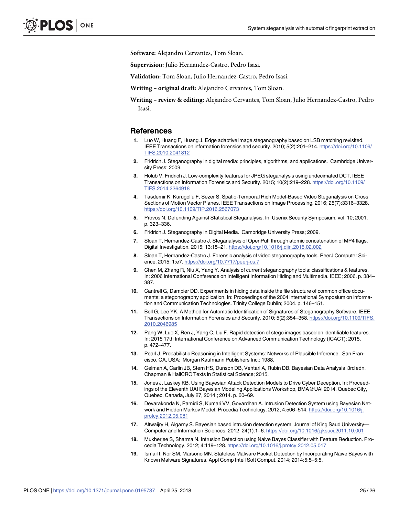<span id="page-25-0"></span>**Software:** Alejandro Cervantes, Tom Sloan.

**Supervision:** Julio Hernandez-Castro, Pedro Isasi.

**Validation:** Tom Sloan, Julio Hernandez-Castro, Pedro Isasi.

**Writing – original draft:** Alejandro Cervantes, Tom Sloan.

**Writing – review & editing:** Alejandro Cervantes, Tom Sloan, Julio Hernandez-Castro, Pedro Isasi.

### **References**

- **[1](#page-0-0).** Luo W, Huang F, Huang J. Edge adaptive image steganography based on LSB matching revisited. IEEE Transactions on information forensics and security. 2010; 5(2):201–214. [https://doi.org/10.1109/](https://doi.org/10.1109/TIFS.2010.2041812) [TIFS.2010.2041812](https://doi.org/10.1109/TIFS.2010.2041812)
- **[2](#page-1-0).** Fridrich J. Steganography in digital media: principles, algorithms, and applications. Cambridge University Press; 2009.
- **[3](#page-1-0).** Holub V, Fridrich J. Low-complexity features for JPEG steganalysis using undecimated DCT. IEEE Transactions on Information Forensics and Security. 2015; 10(2):219–228. [https://doi.org/10.1109/](https://doi.org/10.1109/TIFS.2014.2364918) [TIFS.2014.2364918](https://doi.org/10.1109/TIFS.2014.2364918)
- **[4](#page-1-0).** Tasdemir K, Kurugollu F, Sezer S. Spatio-Temporal Rich Model-Based Video Steganalysis on Cross Sections of Motion Vector Planes. IEEE Transactions on Image Processing. 2016; 25(7):3316–3328. <https://doi.org/10.1109/TIP.2016.2567073>
- **[5](#page-1-0).** Provos N. Defending Against Statistical Steganalysis. In: Usenix Security Symposium. vol. 10; 2001. p. 323–336.
- **[6](#page-1-0).** Fridrich J. Steganography in Digital Media. Cambridge University Press; 2009.
- **[7](#page-2-0).** Sloan T, Hernandez-Castro J. Steganalysis of OpenPuff through atomic concatenation of MP4 flags. Digital Investigation. 2015; 13:15–21. <https://doi.org/10.1016/j.diin.2015.02.002>
- **[8](#page-2-0).** Sloan T, Hernandez-Castro J. Forensic analysis of video steganography tools. PeerJ Computer Science. 2015; 1:e7. <https://doi.org/10.7717/peerj-cs.7>
- **[9](#page-2-0).** Chen M, Zhang R, Niu X, Yang Y. Analysis of current steganography tools: classifications & features. In: 2006 International Conference on Intelligent Information Hiding and Multimedia. IEEE; 2006. p. 384– 387.
- **[10](#page-2-0).** Cantrell G, Dampier DD. Experiments in hiding data inside the file structure of common office documents: a stegonography application. In: Proceedings of the 2004 international Symposium on information and Communication Technologies. Trinity College Dublin; 2004. p. 146–151.
- **[11](#page-2-0).** Bell G, Lee YK. A Method for Automatic Identification of Signatures of Steganography Software. IEEE Transactions on Information Forensics and Security. 2010; 5(2):354–358. [https://doi.org/10.1109/TIFS.](https://doi.org/10.1109/TIFS.2010.2046985) [2010.2046985](https://doi.org/10.1109/TIFS.2010.2046985)
- **[12](#page-2-0).** Pang W, Luo X, Ren J, Yang C, Liu F. Rapid detection of stego images based on identifiable features. In: 2015 17th International Conference on Advanced Communication Technology (ICACT); 2015. p. 472–477.
- **[13](#page-3-0).** Pearl J. Probabilistic Reasoning in Intelligent Systems: Networks of Plausible Inference. San Francisco, CA, USA: Morgan Kaufmann Publishers Inc.; 1988.
- **[14](#page-3-0).** Gelman A, Carlin JB, Stern HS, Dunson DB, Vehtari A, Rubin DB. Bayesian Data Analysis 3rd edn. Chapman & HallCRC Texts in Statistical Science; 2015.
- **[15](#page-3-0).** Jones J, Laskey KB. Using Bayesian Attack Detection Models to Drive Cyber Deception. In: Proceedings of the Eleventh UAI Bayesian Modeling Applications Workshop, BMA@UAI 2014, Quebec City, Quebec, Canada, July 27, 2014.; 2014. p. 60–69.
- **[16](#page-3-0).** Devarakonda N, Pamidi S, Kumari VV, Govardhan A. Intrusion Detection System using Bayesian Network and Hidden Markov Model. Procedia Technology. 2012; 4:506–514. [https://doi.org/10.1016/j.](https://doi.org/10.1016/j.protcy.2012.05.081) [protcy.2012.05.081](https://doi.org/10.1016/j.protcy.2012.05.081)
- **[17](#page-3-0).** Altwaijry H, Algarny S. Bayesian based intrusion detection system. Journal of King Saud University— Computer and Information Sciences. 2012; 24(1):1–6. <https://doi.org/10.1016/j.jksuci.2011.10.001>
- **18.** Mukherjee S, Sharma N. Intrusion Detection using Naive Bayes Classifier with Feature Reduction. Procedia Technology. 2012; 4:119–128. <https://doi.org/10.1016/j.protcy.2012.05.017>
- **[19](#page-3-0).** Ismail I, Nor SM, Marsono MN. Stateless Malware Packet Detection by Incorporating Naive Bayes with Known Malware Signatures. Appl Comp Intell Soft Comput. 2014; 2014:5:5–5:5.